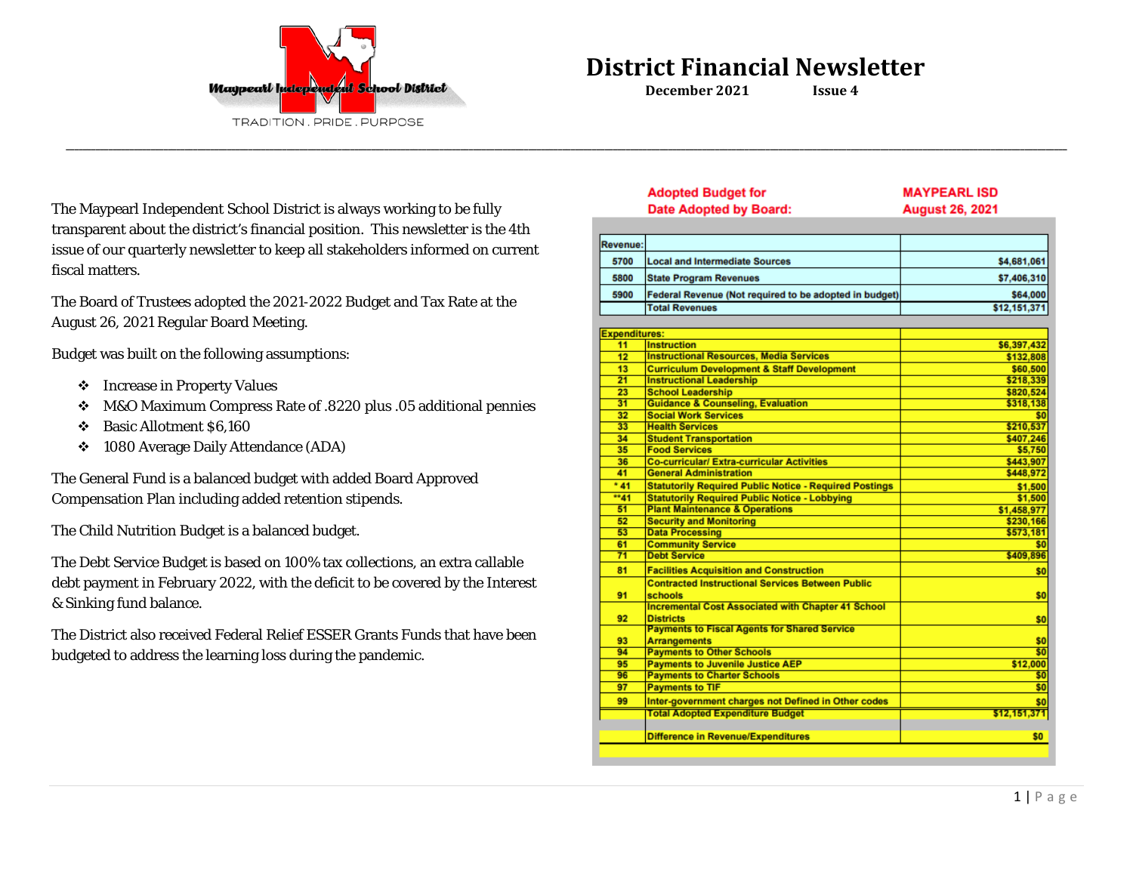

**Adopted Budget for** 

**\_\_\_\_\_\_\_\_\_\_\_\_\_\_\_\_\_\_\_\_\_\_\_\_\_\_\_\_\_\_\_\_\_\_\_\_\_\_\_\_\_\_\_\_\_\_\_\_\_\_\_\_\_\_\_\_\_\_\_\_\_\_\_\_\_\_\_\_\_\_\_\_\_\_\_\_\_\_\_\_\_\_\_\_\_\_\_\_\_\_\_\_\_\_\_\_\_\_\_\_\_\_\_\_\_\_\_\_\_\_\_\_\_\_\_\_\_\_\_\_\_\_\_\_\_\_\_\_\_\_\_\_\_\_\_\_\_\_\_\_\_\_\_\_\_\_\_\_\_\_\_\_\_\_\_\_\_\_\_\_\_\_\_\_\_\_\_\_\_\_\_\_\_\_\_\_\_\_\_\_\_\_\_\_\_\_\_\_\_\_\_\_\_\_\_\_\_\_\_\_\_\_\_\_\_\_\_\_\_\_\_\_\_\_\_\_\_\_\_\_\_\_\_\_\_\_\_\_\_\_\_\_\_\_\_\_**

**MAYPEARL ISD** 

The Maypearl Independent School District is always working to be fully transparent about the district's financial position. This newsletter is the 4th issue of our quarterly newsletter to keep all stakeholders informed on current fiscal matters.

The Board of Trustees adopted the 2021-2022 Budget and Tax Rate at the August 26, 2021 Regular Board Meeting.

Budget was built on the following assumptions:

- Increase in Property Values
- M&O Maximum Compress Rate of .8220 plus .05 additional pennies
- Basic Allotment \$6,160
- 1080 Average Daily Attendance (ADA)

The General Fund is a balanced budget with added Board Approved Compensation Plan including added retention stipends.

The Child Nutrition Budget is a balanced budget.

The Debt Service Budget is based on 100% tax collections, an extra callable debt payment in February 2022, with the deficit to be covered by the Interest & Sinking fund balance.

The District also received Federal Relief ESSER Grants Funds that have been budgeted to address the learning loss during the pandemic.

|                      | Date Adopted by Board:                                             | <b>August 26, 2021</b> |
|----------------------|--------------------------------------------------------------------|------------------------|
|                      |                                                                    |                        |
| Revenue:             |                                                                    |                        |
| 5700                 | <b>Local and Intermediate Sources</b>                              | \$4,681,061            |
| 5800                 | <b>State Program Revenues</b>                                      | \$7,406,310            |
| 5900                 | Federal Revenue (Not required to be adopted in budget)             | \$64,000               |
|                      | <b>Total Revenues</b>                                              | \$12,151,371           |
|                      |                                                                    |                        |
| <b>Expenditures:</b> |                                                                    |                        |
| 11                   | <b>Instruction</b>                                                 | \$6,397,432            |
| 12                   | <b>Instructional Resources, Media Services</b>                     | \$132,808              |
| 13                   | <b>Curriculum Development &amp; Staff Development</b>              | \$60,500               |
| 21                   | <b>Instructional Leadership</b>                                    | \$218,339              |
| 23                   | <b>School Leadership</b>                                           | \$820,524              |
| 31                   | <b>Guidance &amp; Counseling, Evaluation</b>                       | \$318,138              |
| 32                   | <b>Social Work Services</b>                                        | \$0                    |
| 33                   | <b>Health Services</b>                                             | \$210,537              |
| 34                   | <b>Student Transportation</b>                                      | \$407.246              |
| 35                   | <b>Food Services</b>                                               | \$5,750                |
| 36                   | <b>Co-curricular/Extra-curricular Activities</b>                   | \$443,907              |
| 41                   | <b>General Administration</b>                                      | \$448,972              |
| $*41$                | <b>Statutorily Required Public Notice - Required Postings</b>      | \$1,500                |
| **41                 | <b>Statutorily Required Public Notice - Lobbying</b>               | \$1,500                |
| 51                   | <b>Plant Maintenance &amp; Operations</b>                          | \$1,458.977            |
| 52                   | <b>Security and Monitoring</b>                                     | \$230,166              |
| 53                   | <b>Data Processing</b>                                             | \$573,181              |
| 61                   | <b>Community Service</b>                                           | \$0                    |
| 71                   | <b>Debt Service</b>                                                | \$409,896              |
|                      |                                                                    |                        |
| 81                   | <b>Facilities Acquisition and Construction</b>                     | \$0                    |
| 91                   | <b>Contracted Instructional Services Between Public</b><br>schools | \$0                    |
|                      | <b>Incremental Cost Associated with Chapter 41 School</b>          |                        |
| 92                   | <b>Districts</b>                                                   | \$0                    |
|                      | <b>Payments to Fiscal Agents for Shared Service</b>                |                        |
| 93                   | <b>Arrangements</b>                                                | \$0                    |
| 94                   | <b>Payments to Other Schools</b>                                   | \$0                    |
| 95                   | <b>Payments to Juvenile Justice AEP</b>                            | \$12,000               |
| 96                   | <b>Payments to Charter Schools</b>                                 | \$0                    |
| 97                   | <b>Payments to TIF</b>                                             | \$0                    |
| 99                   | Inter-government charges not Defined in Other codes                | \$0                    |
|                      | <b>Total Adopted Expenditure Budget</b>                            | \$12,151,371           |
|                      |                                                                    |                        |
|                      | <b>Difference in Revenue/Expenditures</b>                          | \$0                    |
|                      |                                                                    |                        |
|                      |                                                                    |                        |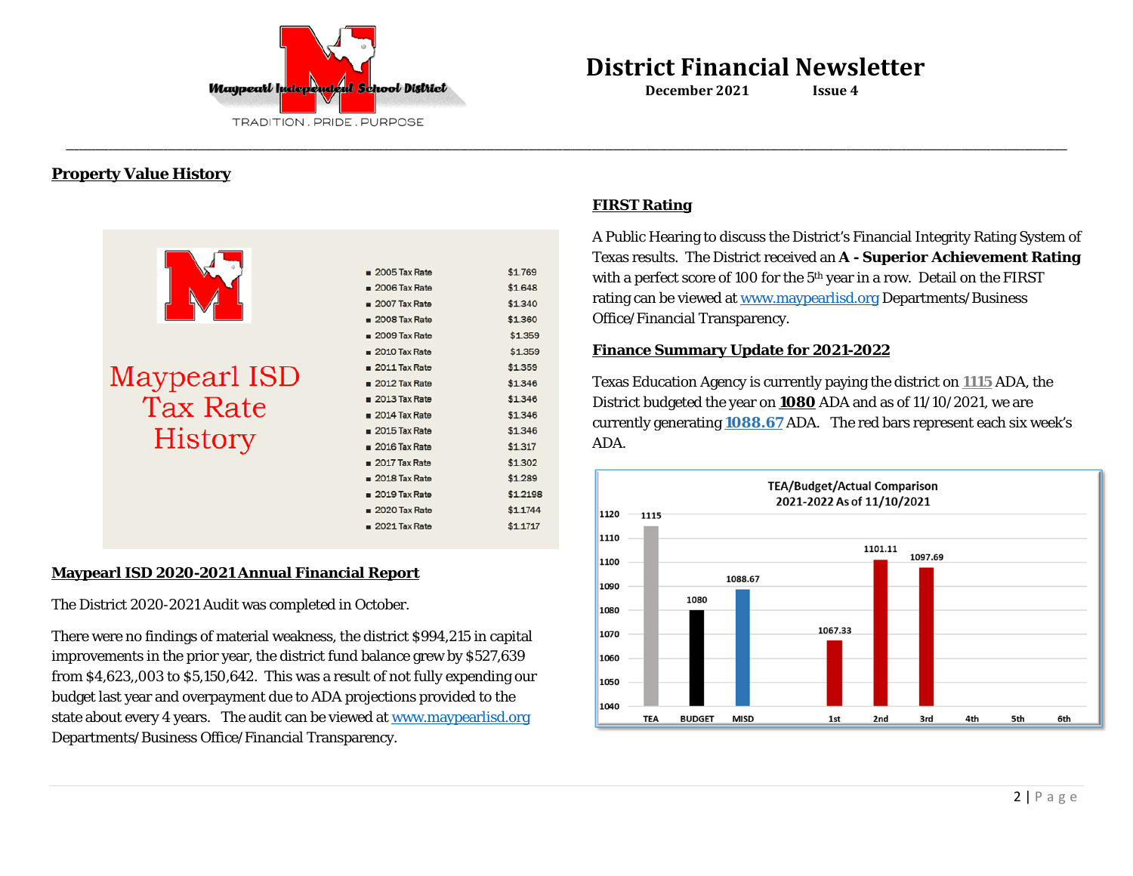

## **Property Value History**

|                 | $2005$ Tax Rate        | \$1.769  |
|-----------------|------------------------|----------|
|                 | $2006$ Tax Rate        | \$1,648  |
|                 | $2007$ Tax Rate        | \$1.340  |
|                 |                        |          |
|                 | $2008$ Tax Rate        | \$1.360  |
|                 | $2009$ Tax Rate        | \$1.359  |
|                 | $2010$ Tax Rate        | \$1.359  |
|                 | $\equiv$ 2011 Tax Rate | \$1.359  |
| Maypearl ISD    | $2012$ Tax Rate        | \$1.346  |
| <b>Tax Rate</b> | $2013$ Tax Rate        | \$1.346  |
|                 | $2014$ Tax Rate        | \$1.346  |
|                 | $2015$ Tax Rate        | \$1.346  |
| History         | $2016$ Tax Rate        | \$1.317  |
|                 | $2017$ Tax Rate        | \$1.302  |
|                 | $2018$ Tax Rate        | \$1.289  |
|                 | $2019$ Tax Rate        | \$1,2198 |
|                 | $2020$ Tax Rate        | \$1.1744 |
|                 | $2021$ Tax Rate        | \$1.1717 |
|                 |                        |          |

### **Maypearl ISD 2020-2021 Annual Financial Report**

The District 2020-2021 Audit was completed in October.

There were no findings of material weakness, the district \$994,215 in capital improvements in the prior year, the district fund balance grew by \$527,639 from \$4,623,,003 to \$5,150,642. This was a result of not fully expending our budget last year and overpayment due to ADA projections provided to the state about every 4 years. The audit can be viewed a[t www.maypearlisd.org](http://www.maypearlisd.org/) Departments/Business Office/Financial Transparency.

### **FIRST Rating**

**\_\_\_\_\_\_\_\_\_\_\_\_\_\_\_\_\_\_\_\_\_\_\_\_\_\_\_\_\_\_\_\_\_\_\_\_\_\_\_\_\_\_\_\_\_\_\_\_\_\_\_\_\_\_\_\_\_\_\_\_\_\_\_\_\_\_\_\_\_\_\_\_\_\_\_\_\_\_\_\_\_\_\_\_\_\_\_\_\_\_\_\_\_\_\_\_\_\_\_\_\_\_\_\_\_\_\_\_\_\_\_\_\_\_\_\_\_\_\_\_\_\_\_\_\_\_\_\_\_\_\_\_\_\_\_\_\_\_\_\_\_\_\_\_\_\_\_\_\_\_\_\_\_\_\_\_\_\_\_\_\_\_\_\_\_\_\_\_\_\_\_\_\_\_\_\_\_\_\_\_\_\_\_\_\_\_\_\_\_\_\_\_\_\_\_\_\_\_\_\_\_\_\_\_\_\_\_\_\_\_\_\_\_\_\_\_\_\_\_\_\_\_\_\_\_\_\_\_\_\_\_\_\_\_\_\_**

A Public Hearing to discuss the District's Financial Integrity Rating System of Texas results. The District received an **A - Superior Achievement Rating** with a perfect score of 100 for the 5<sup>th</sup> year in a row. Detail on the FIRST rating can be viewed a[t www.maypearlisd.org](http://www.maypearlisd.org/) Departments/Business Office/Financial Transparency.

### **Finance Summary Update for 2021-2022**

Texas Education Agency is currently paying the district on **1115** ADA, the District budgeted the year on **1080** ADA and as of 11/10/2021, we are currently generating **1088.67** ADA. The red bars represent each six week's ADA.

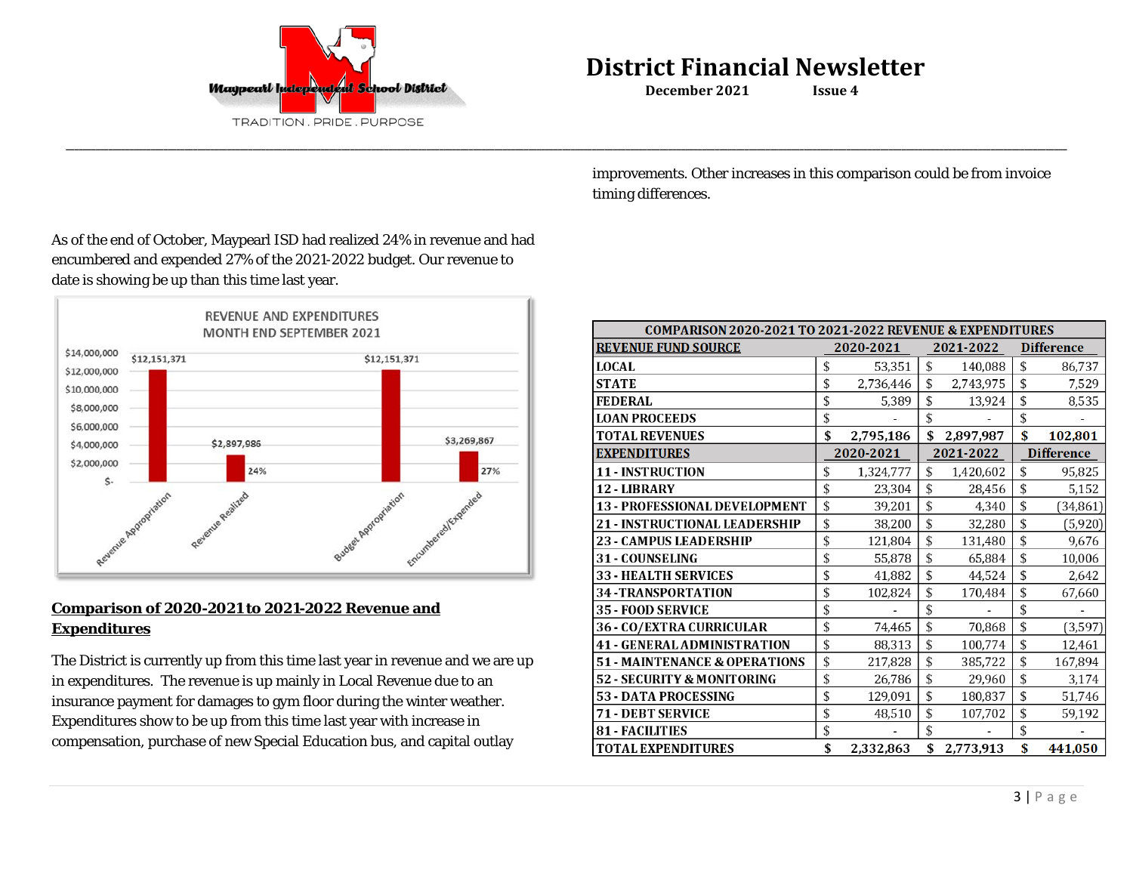

**\_\_\_\_\_\_\_\_\_\_\_\_\_\_\_\_\_\_\_\_\_\_\_\_\_\_\_\_\_\_\_\_\_\_\_\_\_\_\_\_\_\_\_\_\_\_\_\_\_\_\_\_\_\_\_\_\_\_\_\_\_\_\_\_\_\_\_\_\_\_\_\_\_\_\_\_\_\_\_\_\_\_\_\_\_\_\_\_\_\_\_\_\_\_\_\_\_\_\_\_\_\_\_\_\_\_\_\_\_\_\_\_\_\_\_\_\_\_\_\_\_\_\_\_\_\_\_\_\_\_\_\_\_\_\_\_\_\_\_\_\_\_\_\_\_\_\_\_\_\_\_\_\_\_\_\_\_\_\_\_\_\_\_\_\_\_\_\_\_\_\_\_\_\_\_\_\_\_\_\_\_\_\_\_\_\_\_\_\_\_\_\_\_\_\_\_\_\_\_\_\_\_\_\_\_\_\_\_\_\_\_\_\_\_\_\_\_\_\_\_\_\_\_\_\_\_\_\_\_\_\_\_\_\_\_\_**

improvements. Other increases in this comparison could be from invoice timing differences.

As of the end of October, Maypearl ISD had realized 24% in revenue and had encumbered and expended 27% of the 2021-2022 budget. Our revenue to date is showing be up than this time last year.



# **Comparison of 2020-2021 to 2021-2022 Revenue and Expenditures**

The District is currently up from this time last year in revenue and we are up in expenditures. The revenue is up mainly in Local Revenue due to an insurance payment for damages to gym floor during the winter weather. Expenditures show to be up from this time last year with increase in compensation, purchase of new Special Education bus, and capital outlay

| COMPARISON 2020-2021 TO 2021-2022 REVENUE & EXPENDITURES |           |           |           |           |                   |                   |  |
|----------------------------------------------------------|-----------|-----------|-----------|-----------|-------------------|-------------------|--|
| <b>REVENUE FUND SOURCE</b>                               |           | 2020-2021 |           | 2021-2022 |                   | <b>Difference</b> |  |
| <b>LOCAL</b>                                             | \$        | 53.351    | \$        | 140,088   | \$                | 86,737            |  |
| <b>STATE</b>                                             | \$        | 2,736,446 | \$        | 2,743,975 | \$                | 7,529             |  |
| <b>FEDERAL</b>                                           | \$        | 5,389     | \$        | 13,924    | \$                | 8,535             |  |
| <b>LOAN PROCEEDS</b>                                     | \$        |           | \$        |           | \$                |                   |  |
| <b>TOTAL REVENUES</b>                                    | \$        | 2,795,186 | \$        | 2,897,987 | \$                | 102,801           |  |
| <b>EXPENDITURES</b>                                      | 2020-2021 |           | 2021-2022 |           | <b>Difference</b> |                   |  |
| <b>11 - INSTRUCTION</b>                                  | \$        | 1,324,777 | \$        | 1,420,602 | \$                | 95,825            |  |
| 12 - LIBRARY                                             | \$        | 23,304    | \$        | 28,456    | \$                | 5,152             |  |
| <b>13 - PROFESSIONAL DEVELOPMENT</b>                     | \$        | 39,201    | \$        | 4,340     | \$                | (34, 861)         |  |
| 21 - INSTRUCTIONAL LEADERSHIP                            | \$        | 38,200    | \$        | 32,280    | \$                | (5, 920)          |  |
| <b>23 - CAMPUS LEADERSHIP</b>                            | \$        | 121,804   | \$        | 131,480   | \$                | 9,676             |  |
| <b>31 - COUNSELING</b>                                   | \$        | 55,878    | \$        | 65,884    | \$                | 10,006            |  |
| <b>33 - HEALTH SERVICES</b>                              | \$        | 41,882    | \$        | 44,524    | \$                | 2,642             |  |
| <b>34 - TRANSPORTATION</b>                               | \$        | 102,824   | \$        | 170,484   | \$                | 67,660            |  |
| 35 - FOOD SERVICE                                        | \$        |           | \$        |           | \$                |                   |  |
| 36 - CO/EXTRA CURRICULAR                                 | \$        | 74,465    | \$        | 70,868    | \$                | (3,597)           |  |
| <b>41 - GENERAL ADMINISTRATION</b>                       | \$        | 88,313    | \$        | 100,774   | \$                | 12,461            |  |
| <b>51 - MAINTENANCE &amp; OPERATIONS</b>                 | \$        | 217,828   | \$        | 385,722   | \$                | 167,894           |  |
| 52 - SECURITY & MONITORING                               | \$        | 26,786    | \$        | 29,960    | \$                | 3,174             |  |
| <b>53 - DATA PROCESSING</b>                              | \$        | 129,091   | \$        | 180,837   | \$                | 51,746            |  |
| 71 - DEBT SERVICE                                        | \$        | 48,510    | \$        | 107,702   | \$                | 59,192            |  |
| <b>81 - FACILITIES</b>                                   | \$        |           | \$        |           | \$                |                   |  |
| <b>TOTAL EXPENDITURES</b>                                | \$        | 2,332,863 | \$        | 2,773,913 | \$                | 441,050           |  |